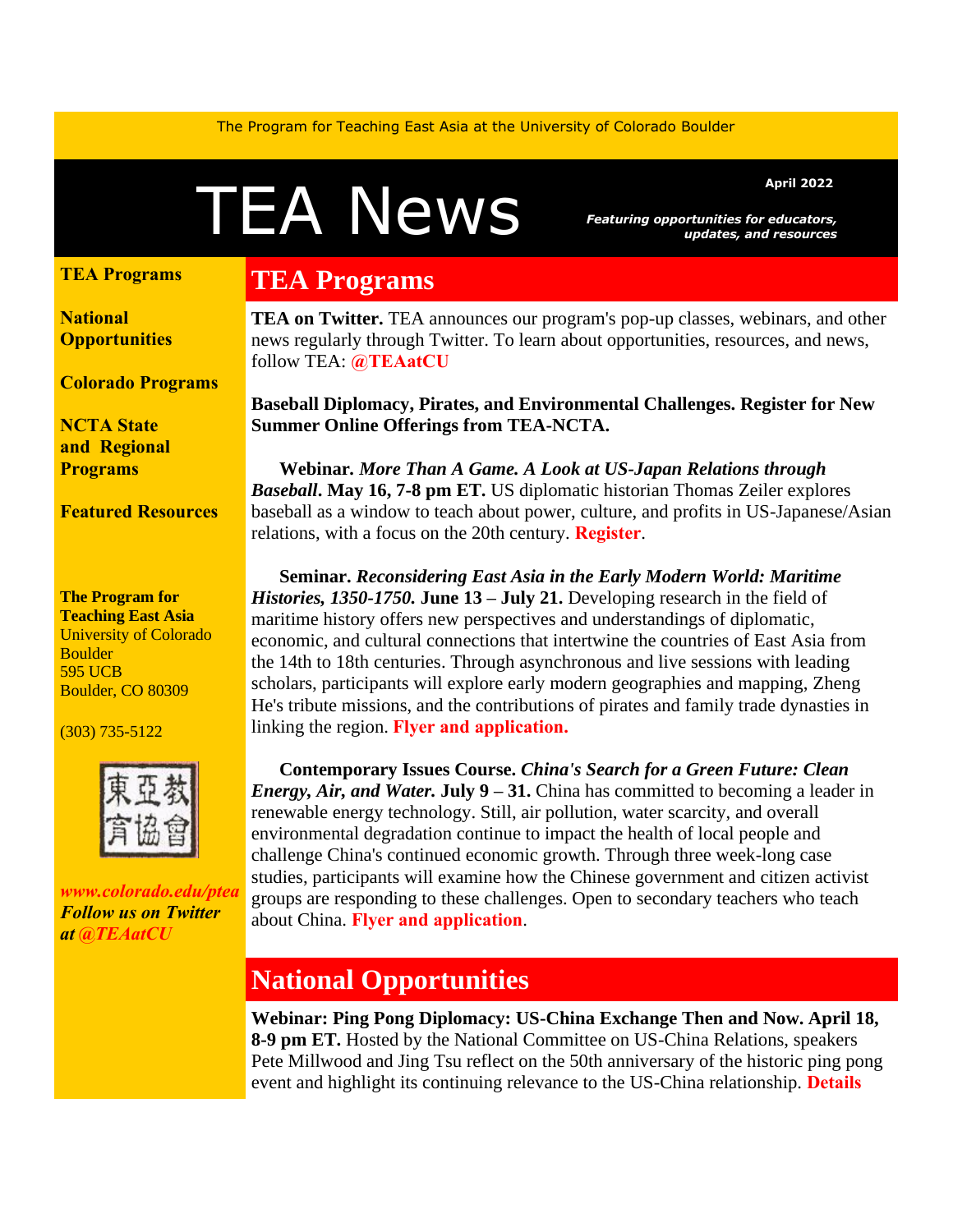The Program for Teaching East Asia at the University of Colorado Boulder

# A News *Featuring opportunities for educators,*

*Featuring opportunities for educators, updates, and resources*

#### **[TEA Programs](https://mailchi.mp/colorado/august-e-news-from-tea-a0o1xsr1fr-9001969#TEAprog)**

**[National](https://mailchi.mp/colorado/august-e-news-from-tea-a0o1xsr1fr-9001969#natl)  [Opportunities](https://mailchi.mp/colorado/august-e-news-from-tea-a0o1xsr1fr-9001969#natl)**

**[Colorado Programs](https://mailchi.mp/colorado/august-e-news-from-tea-a0o1xsr1fr-9001969#colo)**

**[NCTA State](https://mailchi.mp/colorado/august-e-news-from-tea-a0o1xsr1fr-9001969#local)  and [Regional](https://mailchi.mp/colorado/august-e-news-from-tea-a0o1xsr1fr-9001969#local)  [Programs](https://mailchi.mp/colorado/august-e-news-from-tea-a0o1xsr1fr-9001969#local)**

**[Featured Resources](https://mailchi.mp/colorado/august-e-news-from-tea-a0o1xsr1fr-9001969#FR)**

**The Program for Teaching East Asia** University of Colorado **Boulder** 595 UCB Boulder, CO 80309

(303) 735-5122



*[www.colorado.edu/ptea](http://www.colorado.edu/cas/tea) Follow us on Twitter at [@TEAatCU](https://twitter.com/TEAatCU)*

# **TEA Programs**

**TEA on Twitter.** TEA announces our program's pop-up classes, webinars, and other news regularly through Twitter. To learn about opportunities, resources, and news, follow TEA: **[@TEAatCU](https://twitter.com/TEAatCU)**

**Baseball Diplomacy, Pirates, and Environmental Challenges. Register for New Summer Online Offerings from TEA-NCTA.** 

 **Webinar***. More Than A Game. A Look at US-Japan Relations through Baseball***. May 16, 7-8 pm ET.** US diplomatic historian Thomas Zeiler explores baseball as a window to teach about power, culture, and profits in US-Japanese/Asian relations, with a focus on the 20th century. **[Register](https://www.colorado.edu/ptea/webinar)**.

 **Seminar.** *Reconsidering East Asia in the Early Modern World: Maritime Histories, 1350-1750.* **June 13 – July 21.** Developing research in the field of maritime history offers new perspectives and understandings of diplomatic, economic, and cultural connections that intertwine the countries of East Asia from the 14th to 18th centuries. Through asynchronous and live sessions with leading scholars, participants will explore early modern geographies and mapping, Zheng He's tribute missions, and the contributions of pirates and family trade dynasties in linking the region. **[Flyer and application.](https://www.colorado.edu/ptea/sites/default/files/attached-files/maritimeemea2022flyer.pdf)**

 **Contemporary Issues Course.** *China's Search for a Green Future: Clean Energy, Air, and Water.* **July 9** – 31. China has committed to becoming a leader in renewable energy technology. Still, air pollution, water scarcity, and overall environmental degradation continue to impact the health of local people and challenge China's continued economic growth. Through three week-long case studies, participants will examine how the Chinese government and citizen activist groups are responding to these challenges. Open to secondary teachers who teach about China. **[Flyer and application](https://www.colorado.edu/ptea/ChinaEnv)**.

## **National Opportunities**

**Webinar: Ping Pong Diplomacy: US-China Exchange Then and Now. April 18, 8-9 pm ET.** Hosted by the National Committee on US-China Relations, speakers Pete Millwood and Jing Tsu reflect on the 50th anniversary of the historic ping pong event and highlight its continuing relevance to the US-China relationship. **[Details](https://www.ncuscr.org/event/ping-pong-diplomacy-us-china-exchange/)**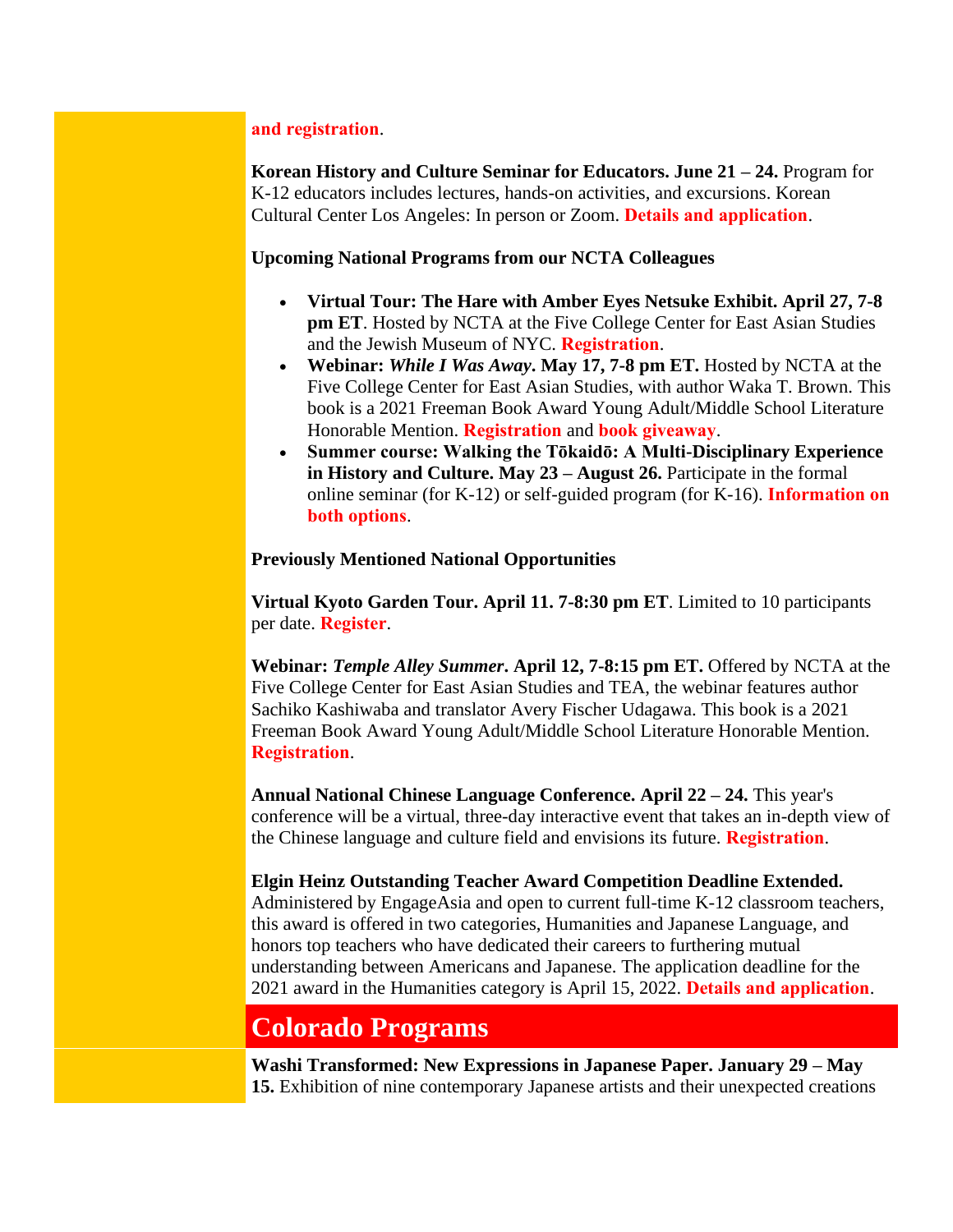#### **[and registration](https://www.ncuscr.org/event/ping-pong-diplomacy-us-china-exchange/)**.

**Korean History and Culture Seminar for Educators. June 21 – 24.** Program for K-12 educators includes lectures, hands-on activities, and excursions. Korean Cultural Center Los Angeles: In person or Zoom. **[Details and application](https://koreanseminar.org/contactus/)**.

#### **Upcoming National Programs from our NCTA Colleagues**

- **Virtual Tour: The Hare with Amber Eyes Netsuke Exhibit. April 27, 7-8 pm ET**. Hosted by NCTA at the Five College Center for East Asian Studies and the Jewish Museum of NYC. **[Registration](https://us06web.zoom.us/meeting/register/tZ0tc-qurDwjHNZbq8dA55yf0stEhzP4WnNT)**.
- **Webinar:** *While I Was Away***. May 17, 7-8 pm ET.** Hosted by NCTA at the Five College Center for East Asian Studies, with author Waka T. Brown. This book is a 2021 Freeman Book Award Young Adult/Middle School Literature Honorable Mention. **[Registration](https://attendee.gotowebinar.com/register/6125176290389320976)** and **[book giveaway](https://www.fivecolleges.edu/form/while-i-was-away-copies-for-educ)**.
- **Summer course: Walking the Tōkaidō: A Multi-Disciplinary Experience in History and Culture. May 23 – August 26.** Participate in the formal online seminar (for K-12) or self-guided program (for K-16). **[Information on](https://www.fivecolleges.edu/walking-tokaido-curriculum)  [both options](https://www.fivecolleges.edu/walking-tokaido-curriculum)**.

#### **Previously Mentioned National Opportunities**

**Virtual Kyoto Garden Tour. April 11. 7-8:30 pm ET**. Limited to 10 participants per date. **[Register](https://www.fivecolleges.edu/form/april-2022-virtual-kyoto-garden-)**.

**Webinar:** *Temple Alley Summer***. April 12, 7-8:15 pm ET.** Offered by NCTA at the Five College Center for East Asian Studies and TEA, the webinar features author Sachiko Kashiwaba and translator Avery Fischer Udagawa. This book is a 2021 Freeman Book Award Young Adult/Middle School Literature Honorable Mention. **[Registration](https://us06web.zoom.us/meeting/register/tZ0vdeqqrDgjEtBej3QlfWMdez3lbN_d0AZd)**.

**Annual National Chinese Language Conference. April 22 – 24.** This year's conference will be a virtual, three-day interactive event that takes an in-depth view of the Chinese language and culture field and envisions its future. **[Registration](https://hopin.com/events/nclc2022/registration)**.

#### **Elgin Heinz Outstanding Teacher Award Competition Deadline Extended.**

Administered by EngageAsia and open to current full-time K-12 classroom teachers, this award is offered in two categories, Humanities and Japanese Language, and honors top teachers who have dedicated their careers to furthering mutual understanding between Americans and Japanese. The application deadline for the 2021 award in the Humanities category is April 15, 2022. **[Details and application](https://www.elginheinzaward.org/)**.

## **Colorado Programs**

**Washi Transformed: New Expressions in Japanese Paper. January 29 – May 15.** Exhibition of nine contemporary Japanese artists and their unexpected creations